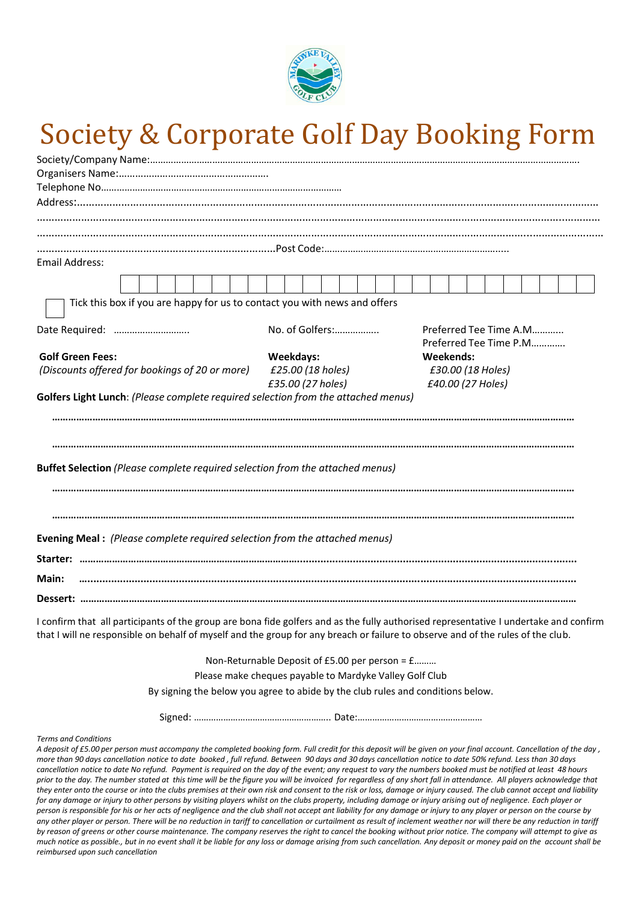

## Society & Corporate Golf Day Booking Form

| <b>Email Address:</b>                                                                                                                                                                                                                                                                                                                           |                                                                                 |                                        |
|-------------------------------------------------------------------------------------------------------------------------------------------------------------------------------------------------------------------------------------------------------------------------------------------------------------------------------------------------|---------------------------------------------------------------------------------|----------------------------------------|
|                                                                                                                                                                                                                                                                                                                                                 |                                                                                 |                                        |
| Tick this box if you are happy for us to contact you with news and offers                                                                                                                                                                                                                                                                       |                                                                                 |                                        |
| Date Required:                                                                                                                                                                                                                                                                                                                                  | No. of Golfers:                                                                 | Preferred Tee Time A.M                 |
|                                                                                                                                                                                                                                                                                                                                                 |                                                                                 | Preferred Tee Time P.M                 |
| <b>Golf Green Fees:</b>                                                                                                                                                                                                                                                                                                                         | Weekdays:<br>£25.00 (18 holes)                                                  | <b>Weekends:</b>                       |
| (Discounts offered for bookings of 20 or more)                                                                                                                                                                                                                                                                                                  | £35.00 (27 holes)                                                               | £30.00 (18 Holes)<br>£40.00 (27 Holes) |
| Golfers Light Lunch: (Please complete required selection from the attached menus)                                                                                                                                                                                                                                                               |                                                                                 |                                        |
|                                                                                                                                                                                                                                                                                                                                                 |                                                                                 |                                        |
|                                                                                                                                                                                                                                                                                                                                                 |                                                                                 |                                        |
|                                                                                                                                                                                                                                                                                                                                                 |                                                                                 |                                        |
|                                                                                                                                                                                                                                                                                                                                                 |                                                                                 |                                        |
|                                                                                                                                                                                                                                                                                                                                                 |                                                                                 |                                        |
| Buffet Selection (Please complete required selection from the attached menus)                                                                                                                                                                                                                                                                   |                                                                                 |                                        |
|                                                                                                                                                                                                                                                                                                                                                 |                                                                                 |                                        |
|                                                                                                                                                                                                                                                                                                                                                 |                                                                                 |                                        |
|                                                                                                                                                                                                                                                                                                                                                 |                                                                                 |                                        |
|                                                                                                                                                                                                                                                                                                                                                 |                                                                                 |                                        |
| Evening Meal : (Please complete required selection from the attached menus)                                                                                                                                                                                                                                                                     |                                                                                 |                                        |
|                                                                                                                                                                                                                                                                                                                                                 |                                                                                 |                                        |
|                                                                                                                                                                                                                                                                                                                                                 |                                                                                 |                                        |
| Main:                                                                                                                                                                                                                                                                                                                                           |                                                                                 |                                        |
|                                                                                                                                                                                                                                                                                                                                                 |                                                                                 |                                        |
|                                                                                                                                                                                                                                                                                                                                                 |                                                                                 |                                        |
| I confirm that all participants of the group are bona fide golfers and as the fully authorised representative I undertake and confirm                                                                                                                                                                                                           |                                                                                 |                                        |
| that I will ne responsible on behalf of myself and the group for any breach or failure to observe and of the rules of the club.                                                                                                                                                                                                                 |                                                                                 |                                        |
|                                                                                                                                                                                                                                                                                                                                                 |                                                                                 |                                        |
|                                                                                                                                                                                                                                                                                                                                                 | Non-Returnable Deposit of £5.00 per person = £                                  |                                        |
|                                                                                                                                                                                                                                                                                                                                                 | Please make cheques payable to Mardyke Valley Golf Club                         |                                        |
|                                                                                                                                                                                                                                                                                                                                                 | By signing the below you agree to abide by the club rules and conditions below. |                                        |
|                                                                                                                                                                                                                                                                                                                                                 |                                                                                 |                                        |
|                                                                                                                                                                                                                                                                                                                                                 |                                                                                 |                                        |
| <b>Terms and Conditions</b><br>A deposit of £5.00 per person must accompany the completed booking form. Full credit for this deposit will be given on your final account. Cancellation of the day,                                                                                                                                              |                                                                                 |                                        |
| more than 90 days cancellation notice to date booked, full refund. Between 90 days and 30 days cancellation notice to date 50% refund. Less than 30 days                                                                                                                                                                                        |                                                                                 |                                        |
| cancellation notice to date No refund. Payment is required on the day of the event; any request to vary the numbers booked must be notified at least 48 hours                                                                                                                                                                                   |                                                                                 |                                        |
| prior to the day. The number stated at this time will be the figure you will be invoiced for regardless of any short fall in attendance. All players acknowledge that<br>they enter onto the course or into the clubs premises at their own risk and consent to the risk or loss, damage or injury caused. The club cannot accept and liability |                                                                                 |                                        |
| for any damage or injury to other persons by visiting players whilst on the clubs property, including damage or injury arising out of negligence. Each player or                                                                                                                                                                                |                                                                                 |                                        |
| person is responsible for his or her acts of negligence and the club shall not accept ant ligbility for any damage or injury to any player or person on the course by                                                                                                                                                                           |                                                                                 |                                        |

*person is responsible for his or her acts of negligence and the club shall not accept ant liability for any damage or injury to any player or person on the course by any other player or person. There will be no reduction in tariff to cancellation or curtailment as result of inclement weather nor will there be any reduction in tariff by reason of greens or other course maintenance. The company reserves the right to cancel the booking without prior notice. The company will attempt to give as much notice as possible., but in no event shall it be liable for any loss or damage arising from such cancellation. Any deposit or money paid on the account shall be reimbursed upon such cancellation*